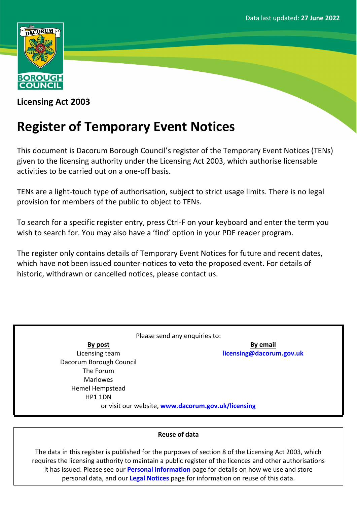

**Licensing Act 2003**

# **Register of Temporary Event Notices**

This document is Dacorum Borough Council's register of the Temporary Event Notices (TENs) given to the licensing authority under the Licensing Act 2003, which authorise licensable activities to be carried out on a one-off basis.

TENs are a light-touch type of authorisation, subject to strict usage limits. There is no legal provision for members of the public to object to TENs.

To search for a specific register entry, press Ctrl-F on your keyboard and enter the term you wish to search for. You may also have a 'find' option in your PDF reader program.

The register only contains details of Temporary Event Notices for future and recent dates, which have not been issued counter-notices to veto the proposed event. For details of historic, withdrawn or cancelled notices, please contact us.

Please send any enquiries to: **By post** Licensing team Dacorum Borough Council The Forum Marlowes Hemel Hempstead HP1 1DN **By email [licensing@dacorum.gov.uk](mailto:licensing@dacorum.gov.uk)** or visit our website, **[www.dacorum.gov.uk/licensing](http://www.dacorum.gov.uk/licensing)**

### **Reuse of data**

The data in this register is published for the purposes of section 8 of the Licensing Act 2003, which requires the licensing authority to maintain a public register of the licences and other authorisations it has issued. Please see our **[Personal](http://www.dacorum.gov.uk/home/open-data/personal-information) [Information](http://www.dacorum.gov.uk/home/open-data/personal-information)** page for details on how we use and store personal data, and our **[Legal](http://www.dacorum.gov.uk/home/map-of-dacorum/legal-disclaimers) [Notices](http://www.dacorum.gov.uk/home/map-of-dacorum/legal-disclaimers)** page for information on reuse of this data.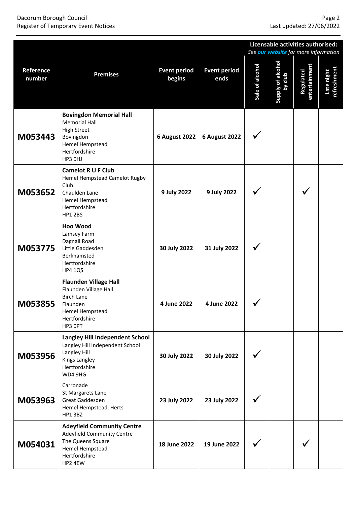## Dacorum Borough Council<br>Register of Temporary Event Notices<br>Register of Temporary Event Notices **Register of Temporary Event Notices**

|                     |                                                                                                                                           |                               |                             | Licensable activities authorised:<br>See our website for more information |                              |                            |                           |  |  |
|---------------------|-------------------------------------------------------------------------------------------------------------------------------------------|-------------------------------|-----------------------------|---------------------------------------------------------------------------|------------------------------|----------------------------|---------------------------|--|--|
| Reference<br>number | <b>Premises</b>                                                                                                                           | <b>Event period</b><br>begins | <b>Event period</b><br>ends | Sale of alcohol                                                           | Supply of alcohol<br>by club | entertainment<br>Regulated | Late night<br>refreshment |  |  |
| M053443             | <b>Bovingdon Memorial Hall</b><br><b>Memorial Hall</b><br><b>High Street</b><br>Bovingdon<br>Hemel Hempstead<br>Hertfordshire<br>HP3 OHJ  | <b>6 August 2022</b>          | <b>6 August 2022</b>        |                                                                           |                              |                            |                           |  |  |
| M053652             | <b>Camelot R U F Club</b><br>Hemel Hempstead Camelot Rugby<br>Club<br>Chaulden Lane<br>Hemel Hempstead<br>Hertfordshire<br><b>HP1 2BS</b> | 9 July 2022                   | 9 July 2022                 |                                                                           |                              |                            |                           |  |  |
| M053775             | <b>Hoo Wood</b><br>Lamsey Farm<br>Dagnall Road<br>Little Gaddesden<br>Berkhamsted<br>Hertfordshire<br><b>HP4 1QS</b>                      | 30 July 2022                  | 31 July 2022                |                                                                           |                              |                            |                           |  |  |
| M053855             | <b>Flaunden Village Hall</b><br>Flaunden Village Hall<br><b>Birch Lane</b><br>Flaunden<br>Hemel Hempstead<br>Hertfordshire<br>HP3 OPT     | 4 June 2022                   | 4 June 2022                 |                                                                           |                              |                            |                           |  |  |
| M053956             | <b>Langley Hill Independent School</b><br>Langley Hill Independent School<br>Langley Hill<br>Kings Langley<br>Hertfordshire<br>WD4 9HG    | 30 July 2022                  | 30 July 2022                |                                                                           |                              |                            |                           |  |  |
| M053963             | Carronade<br>St Margarets Lane<br>Great Gaddesden<br>Hemel Hempstead, Herts<br>HP1 3BZ                                                    | 23 July 2022                  | 23 July 2022                |                                                                           |                              |                            |                           |  |  |
| M054031             | <b>Adeyfield Community Centre</b><br>Adeyfield Community Centre<br>The Queens Square<br>Hemel Hempstead<br>Hertfordshire<br>HP2 4EW       | 18 June 2022                  | 19 June 2022                |                                                                           |                              |                            |                           |  |  |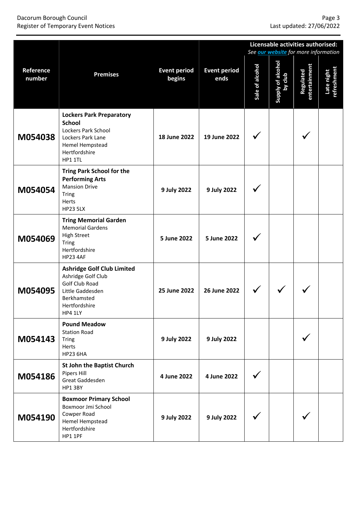#### Dacorum Borough Council Page 3 Register of Temporary Event Notices Last updated: 27/06/2022

|                     |                                                                                                                                             |                               |                             | Licensable activities authorised:<br>See <b>our website</b> for more information |                              |                            |                                  |  |
|---------------------|---------------------------------------------------------------------------------------------------------------------------------------------|-------------------------------|-----------------------------|----------------------------------------------------------------------------------|------------------------------|----------------------------|----------------------------------|--|
| Reference<br>number | <b>Premises</b>                                                                                                                             | <b>Event period</b><br>begins | <b>Event period</b><br>ends | Sale of alcohol                                                                  | Supply of alcohol<br>by club | entertainment<br>Regulated | <b>refreshment</b><br>Late night |  |
| M054038             | <b>Lockers Park Preparatory</b><br><b>School</b><br>Lockers Park School<br>Lockers Park Lane<br>Hemel Hempstead<br>Hertfordshire<br>HP1 1TL | 18 June 2022                  | 19 June 2022                |                                                                                  |                              |                            |                                  |  |
| M054054             | <b>Tring Park School for the</b><br><b>Performing Arts</b><br><b>Mansion Drive</b><br><b>Tring</b><br>Herts<br><b>HP23 5LX</b>              | 9 July 2022                   | 9 July 2022                 |                                                                                  |                              |                            |                                  |  |
| M054069             | <b>Tring Memorial Garden</b><br><b>Memorial Gardens</b><br><b>High Street</b><br><b>Tring</b><br>Hertfordshire<br><b>HP23 4AF</b>           | 5 June 2022                   | 5 June 2022                 |                                                                                  |                              |                            |                                  |  |
| M054095             | <b>Ashridge Golf Club Limited</b><br>Ashridge Golf Club<br>Golf Club Road<br>Little Gaddesden<br>Berkhamsted<br>Hertfordshire<br>HP4 1LY    | 25 June 2022                  | 26 June 2022                |                                                                                  |                              |                            |                                  |  |
| M054143             | <b>Pound Meadow</b><br><b>Station Road</b><br><b>Tring</b><br>Herts<br><b>HP23 6HA</b>                                                      | 9 July 2022                   | 9 July 2022                 |                                                                                  |                              |                            |                                  |  |
| M054186             | <b>St John the Baptist Church</b><br>Pipers Hill<br>Great Gaddesden<br>HP1 3BY                                                              | 4 June 2022                   | 4 June 2022                 |                                                                                  |                              |                            |                                  |  |
| M054190             | <b>Boxmoor Primary School</b><br>Boxmoor Jmi School<br>Cowper Road<br>Hemel Hempstead<br>Hertfordshire<br>HP1 1PF                           | 9 July 2022                   | 9 July 2022                 |                                                                                  |                              |                            |                                  |  |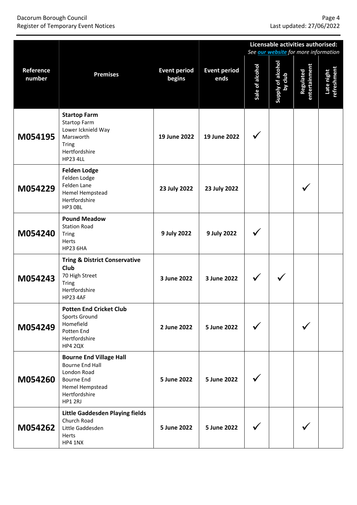#### Dacorum Borough Council Page 4 Register of Temporary Event Notices Last updated: 27/06/2022

|                     |                                                                                                                                      |                               |                             | Licensable activities authorised:<br>See <b>our website</b> for more information |                              |                            |                           |  |
|---------------------|--------------------------------------------------------------------------------------------------------------------------------------|-------------------------------|-----------------------------|----------------------------------------------------------------------------------|------------------------------|----------------------------|---------------------------|--|
| Reference<br>number | <b>Premises</b>                                                                                                                      | <b>Event period</b><br>begins | <b>Event period</b><br>ends | Sale of alcohol                                                                  | Supply of alcohol<br>by club | entertainment<br>Regulated | Late night<br>refreshment |  |
| M054195             | <b>Startop Farm</b><br><b>Startop Farm</b><br>Lower Icknield Way<br>Marsworth<br><b>Tring</b><br>Hertfordshire<br><b>HP23 4LL</b>    | 19 June 2022                  | 19 June 2022                |                                                                                  |                              |                            |                           |  |
| M054229             | <b>Felden Lodge</b><br>Felden Lodge<br>Felden Lane<br>Hemel Hempstead<br>Hertfordshire<br>HP3 OBL                                    | 23 July 2022                  | 23 July 2022                |                                                                                  |                              |                            |                           |  |
| M054240             | <b>Pound Meadow</b><br><b>Station Road</b><br><b>Tring</b><br>Herts<br><b>HP23 6HA</b>                                               | 9 July 2022                   | 9 July 2022                 |                                                                                  |                              |                            |                           |  |
| M054243             | <b>Tring &amp; District Conservative</b><br><b>Club</b><br>70 High Street<br><b>Tring</b><br>Hertfordshire<br><b>HP23 4AF</b>        | 3 June 2022                   | 3 June 2022                 |                                                                                  |                              |                            |                           |  |
| M054249             | <b>Potten End Cricket Club</b><br>Sports Ground<br>Homefield<br>Potten End<br>Hertfordshire<br>HP4 2QX                               | 2 June 2022                   | 5 June 2022                 |                                                                                  |                              |                            |                           |  |
| M054260             | <b>Bourne End Village Hall</b><br>Bourne End Hall<br>London Road<br><b>Bourne End</b><br>Hemel Hempstead<br>Hertfordshire<br>HP1 2RJ | 5 June 2022                   | 5 June 2022                 |                                                                                  |                              |                            |                           |  |
| M054262             | Little Gaddesden Playing fields<br>Church Road<br>Little Gaddesden<br>Herts<br>HP4 1NX                                               | 5 June 2022                   | 5 June 2022                 |                                                                                  |                              |                            |                           |  |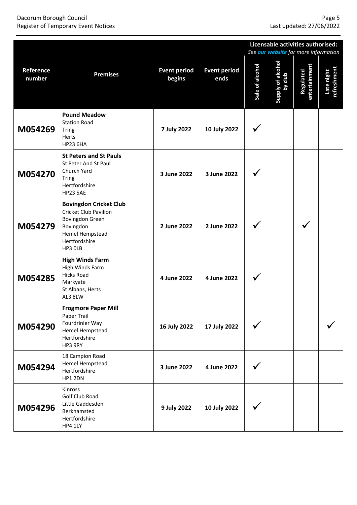#### Dacorum Borough Council Page 5 Register of Temporary Event Notices Last updated: 27/06/2022

|                     |                                                                                                                                              |                               |                             |                 | Licensable activities authorised:<br>See <b>our website</b> for more information |                            |                           |  |  |
|---------------------|----------------------------------------------------------------------------------------------------------------------------------------------|-------------------------------|-----------------------------|-----------------|----------------------------------------------------------------------------------|----------------------------|---------------------------|--|--|
| Reference<br>number | <b>Premises</b>                                                                                                                              | <b>Event period</b><br>begins | <b>Event period</b><br>ends | Sale of alcohol | Supply of alcohol<br>by club                                                     | entertainment<br>Regulated | refreshment<br>Late night |  |  |
| M054269             | <b>Pound Meadow</b><br><b>Station Road</b><br><b>Tring</b><br>Herts<br><b>HP23 6HA</b>                                                       | <b>7 July 2022</b>            | 10 July 2022                |                 |                                                                                  |                            |                           |  |  |
| M054270             | <b>St Peters and St Pauls</b><br>St Peter And St Paul<br>Church Yard<br>Tring<br>Hertfordshire<br><b>HP23 5AE</b>                            | 3 June 2022                   | 3 June 2022                 |                 |                                                                                  |                            |                           |  |  |
| M054279             | <b>Bovingdon Cricket Club</b><br><b>Cricket Club Pavilion</b><br>Bovingdon Green<br>Bovingdon<br>Hemel Hempstead<br>Hertfordshire<br>HP3 OLB | 2 June 2022                   | 2 June 2022                 |                 |                                                                                  |                            |                           |  |  |
| M054285             | <b>High Winds Farm</b><br>High Winds Farm<br><b>Hicks Road</b><br>Markyate<br>St Albans, Herts<br>AL3 8LW                                    | 4 June 2022                   | 4 June 2022                 |                 |                                                                                  |                            |                           |  |  |
| M054290             | <b>Frogmore Paper Mill</b><br>Paper Trail<br>Fourdrinier Way<br>Hemel Hempstead<br>Hertfordshire<br>HP3 9RY                                  | 16 July 2022                  | 17 July 2022                |                 |                                                                                  |                            |                           |  |  |
| M054294             | 18 Campion Road<br>Hemel Hempstead<br>Hertfordshire<br>HP1 2DN                                                                               | 3 June 2022                   | 4 June 2022                 |                 |                                                                                  |                            |                           |  |  |
| M054296             | Kinross<br>Golf Club Road<br>Little Gaddesden<br>Berkhamsted<br>Hertfordshire<br>HP4 1LY                                                     | 9 July 2022                   | 10 July 2022                |                 |                                                                                  |                            |                           |  |  |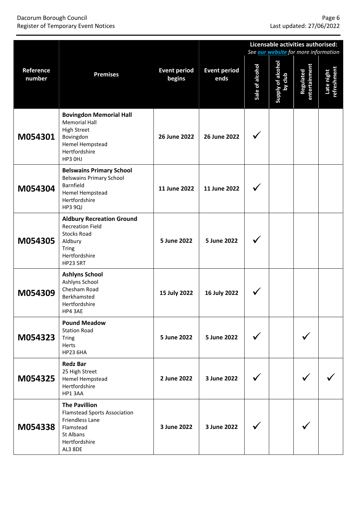#### Dacorum Borough Council Page 6 Register of Temporary Event Notices Last updated: 27/06/2022

|                     |                                                                                                                                           |                               |                             | Licensable activities authorised:<br>See our website for more information |                              |                            |                           |  |
|---------------------|-------------------------------------------------------------------------------------------------------------------------------------------|-------------------------------|-----------------------------|---------------------------------------------------------------------------|------------------------------|----------------------------|---------------------------|--|
| Reference<br>number | <b>Premises</b>                                                                                                                           | <b>Event period</b><br>begins | <b>Event period</b><br>ends | Sale of alcohol                                                           | Supply of alcohol<br>by club | entertainment<br>Regulated | Late night<br>refreshment |  |
| M054301             | <b>Bovingdon Memorial Hall</b><br><b>Memorial Hall</b><br><b>High Street</b><br>Bovingdon<br>Hemel Hempstead<br>Hertfordshire<br>HP3 OHJ  | 26 June 2022                  | 26 June 2022                |                                                                           |                              |                            |                           |  |
| M054304             | <b>Belswains Primary School</b><br><b>Belswains Primary School</b><br>Barnfield<br>Hemel Hempstead<br>Hertfordshire<br>HP3 9QJ            | 11 June 2022                  | 11 June 2022                |                                                                           |                              |                            |                           |  |
| M054305             | <b>Aldbury Recreation Ground</b><br><b>Recreation Field</b><br><b>Stocks Road</b><br>Aldbury<br>Tring<br>Hertfordshire<br><b>HP23 5RT</b> | 5 June 2022                   | 5 June 2022                 |                                                                           |                              |                            |                           |  |
| M054309             | <b>Ashlyns School</b><br>Ashlyns School<br>Chesham Road<br>Berkhamsted<br>Hertfordshire<br>HP4 3AE                                        | 15 July 2022                  | 16 July 2022                |                                                                           |                              |                            |                           |  |
| M054323             | <b>Pound Meadow</b><br><b>Station Road</b><br><b>Tring</b><br>Herts<br><b>HP23 6HA</b>                                                    | 5 June 2022                   | 5 June 2022                 |                                                                           |                              |                            |                           |  |
| M054325             | <b>Redz Bar</b><br>25 High Street<br>Hemel Hempstead<br>Hertfordshire<br>HP1 3AA                                                          | 2 June 2022                   | 3 June 2022                 |                                                                           |                              |                            |                           |  |
| M054338             | <b>The Pavillion</b><br><b>Flamstead Sports Association</b><br>Friendless Lane<br>Flamstead<br>St Albans<br>Hertfordshire<br>AL3 8DE      | 3 June 2022                   | 3 June 2022                 |                                                                           |                              |                            |                           |  |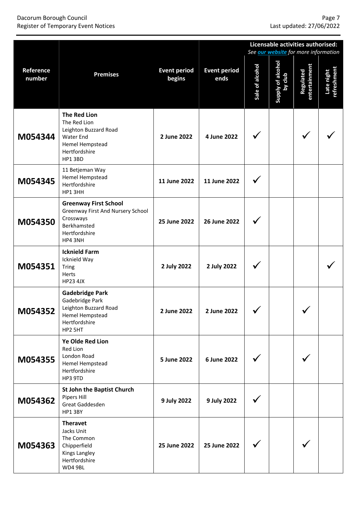## Page 7<br>
Dacorum Borough Council<br>
Register of Temporary Event Notices<br>
Register of Temporary Event Notices **Register of Temporary Event Notices**

|                     |                                                                                                                                 |                               |                             | Licensable activities authorised:<br>See <b>our website</b> for more information |                              |                            |                           |  |  |
|---------------------|---------------------------------------------------------------------------------------------------------------------------------|-------------------------------|-----------------------------|----------------------------------------------------------------------------------|------------------------------|----------------------------|---------------------------|--|--|
| Reference<br>number | <b>Premises</b>                                                                                                                 | <b>Event period</b><br>begins | <b>Event period</b><br>ends | Sale of alcohol                                                                  | Supply of alcohol<br>by club | entertainment<br>Regulated | Late night<br>refreshment |  |  |
| M054344             | <b>The Red Lion</b><br>The Red Lion<br>Leighton Buzzard Road<br><b>Water End</b><br>Hemel Hempstead<br>Hertfordshire<br>HP1 3BD | 2 June 2022                   | 4 June 2022                 |                                                                                  |                              |                            |                           |  |  |
| M054345             | 11 Betjeman Way<br>Hemel Hempstead<br>Hertfordshire<br>HP1 3HH                                                                  | 11 June 2022                  | 11 June 2022                |                                                                                  |                              |                            |                           |  |  |
| M054350             | <b>Greenway First School</b><br>Greenway First And Nursery School<br>Crossways<br>Berkhamsted<br>Hertfordshire<br>HP4 3NH       | 25 June 2022                  | 26 June 2022                |                                                                                  |                              |                            |                           |  |  |
| M054351             | <b>Icknield Farm</b><br>Icknield Way<br><b>Tring</b><br><b>Herts</b><br><b>HP23 4JX</b>                                         | 2 July 2022                   | 2 July 2022                 |                                                                                  |                              |                            |                           |  |  |
| M054352             | <b>Gadebridge Park</b><br>Gadebridge Park<br>Leighton Buzzard Road<br>Hemel Hempstead<br>Hertfordshire<br>HP2 5HT               | 2 June 2022                   | 2 June 2022                 | ╱<br>$\checkmark$                                                                |                              | ╱<br>$\checkmark$          |                           |  |  |
| M054355             | Ye Olde Red Lion<br><b>Red Lion</b><br>London Road<br>Hemel Hempstead<br>Hertfordshire<br>HP3 9TD                               | 5 June 2022                   | 6 June 2022                 |                                                                                  |                              |                            |                           |  |  |
| M054362             | <b>St John the Baptist Church</b><br>Pipers Hill<br>Great Gaddesden<br>HP1 3BY                                                  | 9 July 2022                   | 9 July 2022                 |                                                                                  |                              |                            |                           |  |  |
| M054363             | <b>Theravet</b><br>Jacks Unit<br>The Common<br>Chipperfield<br>Kings Langley<br>Hertfordshire<br>WD4 9BL                        | 25 June 2022                  | 25 June 2022                |                                                                                  |                              |                            |                           |  |  |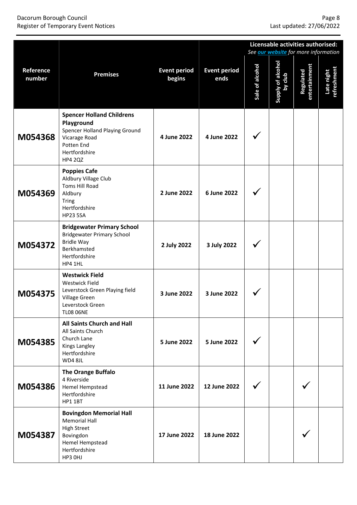#### Dacorum Borough Council Page 8 Register of Temporary Event Notices Last updated: 27/06/2022

|                     |                                                                                                                                                    |                               |                             | Licensable activities authorised: |                                                                             |                            |                           |  |
|---------------------|----------------------------------------------------------------------------------------------------------------------------------------------------|-------------------------------|-----------------------------|-----------------------------------|-----------------------------------------------------------------------------|----------------------------|---------------------------|--|
| Reference<br>number | <b>Premises</b>                                                                                                                                    | <b>Event period</b><br>begins | <b>Event period</b><br>ends | Sale of alcohol                   | See <b>our website</b> for more information<br>Supply of alcohol<br>by club | entertainment<br>Regulated | Late night<br>refreshment |  |
| M054368             | <b>Spencer Holland Childrens</b><br>Playground<br>Spencer Holland Playing Ground<br>Vicarage Road<br>Potten End<br>Hertfordshire<br><b>HP4 2QZ</b> | 4 June 2022                   | 4 June 2022                 |                                   |                                                                             |                            |                           |  |
| M054369             | <b>Poppies Cafe</b><br>Aldbury Village Club<br><b>Toms Hill Road</b><br>Aldbury<br><b>Tring</b><br>Hertfordshire<br><b>HP23 5SA</b>                | 2 June 2022                   | 6 June 2022                 |                                   |                                                                             |                            |                           |  |
| M054372             | <b>Bridgewater Primary School</b><br><b>Bridgewater Primary School</b><br><b>Bridle Way</b><br>Berkhamsted<br>Hertfordshire<br>HP4 1HL             | 2 July 2022                   | 3 July 2022                 |                                   |                                                                             |                            |                           |  |
| M054375             | <b>Westwick Field</b><br><b>Westwick Field</b><br>Leverstock Green Playing field<br>Village Green<br>Leverstock Green<br><b>TL08 06NE</b>          | 3 June 2022                   | 3 June 2022                 |                                   |                                                                             |                            |                           |  |
| M054385             | All Saints Church and Hall<br>All Saints Church<br>Church Lane<br><b>Kings Langley</b><br>Hertfordshire<br>WD4 8JL                                 | 5 June 2022                   | 5 June 2022                 |                                   |                                                                             |                            |                           |  |
| M054386             | <b>The Orange Buffalo</b><br>4 Riverside<br>Hemel Hempstead<br>Hertfordshire<br><b>HP1 1BT</b>                                                     | 11 June 2022                  | 12 June 2022                |                                   |                                                                             |                            |                           |  |
| M054387             | <b>Bovingdon Memorial Hall</b><br><b>Memorial Hall</b><br><b>High Street</b><br>Bovingdon<br>Hemel Hempstead<br>Hertfordshire<br>HP3 OHJ           | 17 June 2022                  | 18 June 2022                |                                   |                                                                             |                            |                           |  |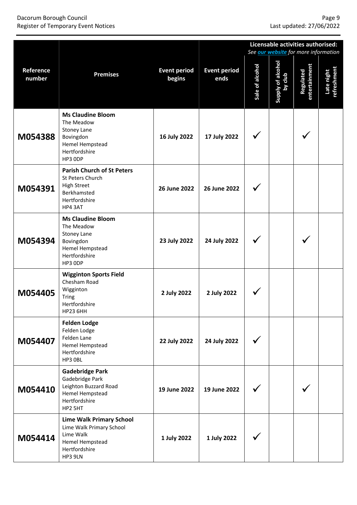#### Dacorum Borough Council Page 9 Register of Temporary Event Notices Last updated: 27/06/2022

|                     |                                                                                                                          |                               |                             | Licensable activities authorised:<br>See <b>our website</b> for more information |                              |                            |                           |  |
|---------------------|--------------------------------------------------------------------------------------------------------------------------|-------------------------------|-----------------------------|----------------------------------------------------------------------------------|------------------------------|----------------------------|---------------------------|--|
| Reference<br>number | <b>Premises</b>                                                                                                          | <b>Event period</b><br>begins | <b>Event period</b><br>ends | Sale of alcohol                                                                  | Supply of alcohol<br>by club | entertainment<br>Regulated | Late night<br>refreshment |  |
| M054388             | <b>Ms Claudine Bloom</b><br>The Meadow<br><b>Stoney Lane</b><br>Bovingdon<br>Hemel Hempstead<br>Hertfordshire<br>HP3 ODP | 16 July 2022                  | 17 July 2022                |                                                                                  |                              |                            |                           |  |
| M054391             | <b>Parish Church of St Peters</b><br>St Peters Church<br><b>High Street</b><br>Berkhamsted<br>Hertfordshire<br>HP4 3AT   | 26 June 2022                  | 26 June 2022                |                                                                                  |                              |                            |                           |  |
| M054394             | <b>Ms Claudine Bloom</b><br>The Meadow<br><b>Stoney Lane</b><br>Bovingdon<br>Hemel Hempstead<br>Hertfordshire<br>HP3 ODP | 23 July 2022                  | 24 July 2022                |                                                                                  |                              |                            |                           |  |
| M054405             | <b>Wigginton Sports Field</b><br>Chesham Road<br>Wigginton<br><b>Tring</b><br>Hertfordshire<br><b>HP23 6HH</b>           | 2 July 2022                   | 2 July 2022                 |                                                                                  |                              |                            |                           |  |
| M054407             | <b>Felden Lodge</b><br>Felden Lodge<br>Felden Lane<br>Hemel Hempstead<br>Hertfordshire<br>HP3 OBL                        | 22 July 2022                  | 24 July 2022                |                                                                                  |                              |                            |                           |  |
| M054410             | <b>Gadebridge Park</b><br>Gadebridge Park<br>Leighton Buzzard Road<br>Hemel Hempstead<br>Hertfordshire<br>HP2 5HT        | 19 June 2022                  | 19 June 2022                |                                                                                  |                              |                            |                           |  |
| M054414             | <b>Lime Walk Primary School</b><br>Lime Walk Primary School<br>Lime Walk<br>Hemel Hempstead<br>Hertfordshire<br>HP3 9LN  | 1 July 2022                   | 1 July 2022                 |                                                                                  |                              |                            |                           |  |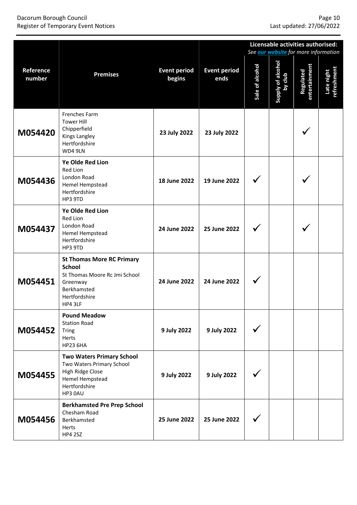#### Dacorum Borough Council Page 10 Register of Temporary Event Notices Last updated: 27/06/2022

|                     |                                                                                                                                           |                               |                             | Licensable activities authorised:<br>See <b>our website</b> for more information |                              |                            |                           |  |
|---------------------|-------------------------------------------------------------------------------------------------------------------------------------------|-------------------------------|-----------------------------|----------------------------------------------------------------------------------|------------------------------|----------------------------|---------------------------|--|
| Reference<br>number | <b>Premises</b>                                                                                                                           | <b>Event period</b><br>begins | <b>Event period</b><br>ends | Sale of alcohol                                                                  | Supply of alcohol<br>by club | entertainment<br>Regulated | Late night<br>refreshment |  |
| M054420             | Frenches Farm<br><b>Tower Hill</b><br>Chipperfield<br>Kings Langley<br>Hertfordshire<br>WD4 9LN                                           | 23 July 2022                  | 23 July 2022                |                                                                                  |                              |                            |                           |  |
| M054436             | <b>Ye Olde Red Lion</b><br>Red Lion<br>London Road<br>Hemel Hempstead<br>Hertfordshire<br>HP3 9TD                                         | 18 June 2022                  | 19 June 2022                |                                                                                  |                              |                            |                           |  |
| M054437             | <b>Ye Olde Red Lion</b><br>Red Lion<br>London Road<br>Hemel Hempstead<br>Hertfordshire<br>HP3 9TD                                         | 24 June 2022                  | 25 June 2022                |                                                                                  |                              |                            |                           |  |
| M054451             | <b>St Thomas More RC Primary</b><br><b>School</b><br>St Thomas Moore Rc Jmi School<br>Greenway<br>Berkhamsted<br>Hertfordshire<br>HP4 3LF | 24 June 2022                  | 24 June 2022                |                                                                                  |                              |                            |                           |  |
| M054452             | <b>Pound Meadow</b><br><b>Station Road</b><br><b>Tring</b><br>Herts<br><b>HP23 6HA</b>                                                    | 9 July 2022                   | 9 July 2022                 |                                                                                  |                              |                            |                           |  |
| M054455             | <b>Two Waters Primary School</b><br>Two Waters Primary School<br>High Ridge Close<br>Hemel Hempstead<br>Hertfordshire<br>HP3 0AU          | 9 July 2022                   | 9 July 2022                 |                                                                                  |                              |                            |                           |  |
| M054456             | <b>Berkhamsted Pre Prep School</b><br>Chesham Road<br>Berkhamsted<br>Herts<br><b>HP4 2SZ</b>                                              | 25 June 2022                  | 25 June 2022                |                                                                                  |                              |                            |                           |  |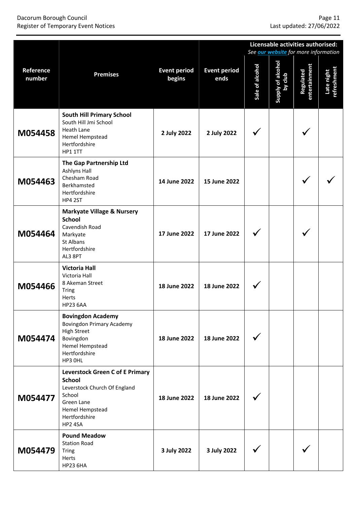## Page 11<br>Page 11<br>Register of Temporary Event Notices and Economic Page 11 Register of Temporary Event Notices **Register of Temporary Event Notices**

|                     |                                                                                                                                                                |                               |                             | Licensable activities authorised:<br>See <b>our website</b> for more information |                              |                                   |                           |  |
|---------------------|----------------------------------------------------------------------------------------------------------------------------------------------------------------|-------------------------------|-----------------------------|----------------------------------------------------------------------------------|------------------------------|-----------------------------------|---------------------------|--|
| Reference<br>number | <b>Premises</b>                                                                                                                                                | <b>Event period</b><br>begins | <b>Event period</b><br>ends | Sale of alcohol                                                                  | Supply of alcohol<br>by club | entertainment<br><b>Regulated</b> | Late night<br>refreshment |  |
| M054458             | <b>South Hill Primary School</b><br>South Hill Jmi School<br>Heath Lane<br>Hemel Hempstead<br>Hertfordshire<br>HP1 1TT                                         | 2 July 2022                   | 2 July 2022                 |                                                                                  |                              |                                   |                           |  |
| M054463             | The Gap Partnership Ltd<br><b>Ashlyns Hall</b><br>Chesham Road<br>Berkhamsted<br>Hertfordshire<br>HP4 2ST                                                      | 14 June 2022                  | 15 June 2022                |                                                                                  |                              |                                   |                           |  |
| M054464             | <b>Markyate Village &amp; Nursery</b><br><b>School</b><br>Cavendish Road<br>Markyate<br>St Albans<br>Hertfordshire<br>AL3 8PT                                  | 17 June 2022                  | 17 June 2022                |                                                                                  |                              |                                   |                           |  |
| M054466             | <b>Victoria Hall</b><br>Victoria Hall<br>8 Akeman Street<br><b>Tring</b><br>Herts<br><b>HP23 6AA</b>                                                           | 18 June 2022                  | 18 June 2022                |                                                                                  |                              |                                   |                           |  |
| M054474             | <b>Bovingdon Academy</b><br><b>Bovingdon Primary Academy</b><br><b>High Street</b><br>Bovingdon<br>Hemel Hempstead<br>Hertfordshire<br>HP3 OHL                 | 18 June 2022                  | 18 June 2022                |                                                                                  |                              |                                   |                           |  |
| M054477             | <b>Leverstock Green C of E Primary</b><br><b>School</b><br>Leverstock Church Of England<br>School<br>Green Lane<br>Hemel Hempstead<br>Hertfordshire<br>HP2 4SA | 18 June 2022                  | 18 June 2022                |                                                                                  |                              |                                   |                           |  |
| M054479             | <b>Pound Meadow</b><br><b>Station Road</b><br><b>Tring</b><br>Herts<br><b>HP23 6HA</b>                                                                         | 3 July 2022                   | 3 July 2022                 |                                                                                  |                              |                                   |                           |  |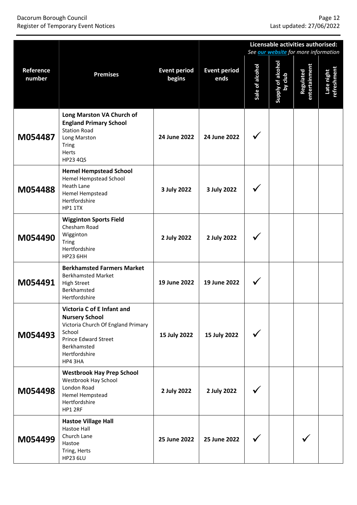#### Dacorum Borough Council Page 12 Register of Temporary Event Notices Last updated: 27/06/2022

|                     |                                                                                                                                                                               |                               |                             | Licensable activities authorised:<br>See <b>our website</b> for more information |                              |                                   |                           |  |
|---------------------|-------------------------------------------------------------------------------------------------------------------------------------------------------------------------------|-------------------------------|-----------------------------|----------------------------------------------------------------------------------|------------------------------|-----------------------------------|---------------------------|--|
| Reference<br>number | <b>Premises</b>                                                                                                                                                               | <b>Event period</b><br>begins | <b>Event period</b><br>ends | Sale of alcohol                                                                  | Supply of alcohol<br>by club | entertainment<br><b>Regulated</b> | Late night<br>refreshment |  |
| M054487             | Long Marston VA Church of<br><b>England Primary School</b><br><b>Station Road</b><br>Long Marston<br><b>Tring</b><br><b>Herts</b><br><b>HP23 4QS</b>                          | 24 June 2022                  | 24 June 2022                |                                                                                  |                              |                                   |                           |  |
| M054488             | <b>Hemel Hempstead School</b><br>Hemel Hempstead School<br>Heath Lane<br>Hemel Hempstead<br>Hertfordshire<br>HP1 1TX                                                          | 3 July 2022                   | 3 July 2022                 |                                                                                  |                              |                                   |                           |  |
| M054490             | <b>Wigginton Sports Field</b><br>Chesham Road<br>Wigginton<br><b>Tring</b><br>Hertfordshire<br><b>HP23 6HH</b>                                                                | 2 July 2022                   | 2 July 2022                 |                                                                                  |                              |                                   |                           |  |
| M054491             | <b>Berkhamsted Farmers Market</b><br><b>Berkhamsted Market</b><br><b>High Street</b><br>Berkhamsted<br>Hertfordshire                                                          | 19 June 2022                  | 19 June 2022                |                                                                                  |                              |                                   |                           |  |
| M054493             | Victoria C of E Infant and<br><b>Nursery School</b><br>Victoria Church Of England Primary<br>School<br><b>Prince Edward Street</b><br>Berkhamsted<br>Hertfordshire<br>HP4 3HA | 15 July 2022                  | 15 July 2022                |                                                                                  |                              |                                   |                           |  |
| M054498             | <b>Westbrook Hay Prep School</b><br>Westbrook Hay School<br>London Road<br>Hemel Hempstead<br>Hertfordshire<br>HP1 2RF                                                        | 2 July 2022                   | 2 July 2022                 |                                                                                  |                              |                                   |                           |  |
| M054499             | <b>Hastoe Village Hall</b><br>Hastoe Hall<br>Church Lane<br>Hastoe<br>Tring, Herts<br><b>HP23 6LU</b>                                                                         | 25 June 2022                  | 25 June 2022                |                                                                                  |                              |                                   |                           |  |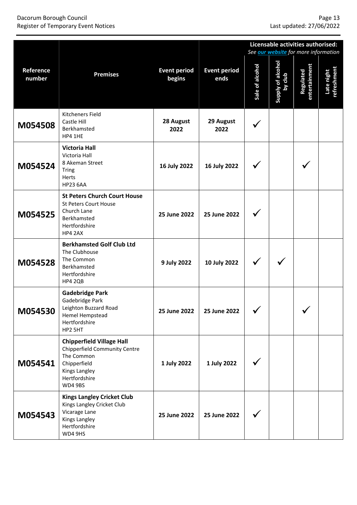#### Dacorum Borough Council Page 13 Register of Temporary Event Notices Last updated: 27/06/2022

|                     |                                                                                                                                              |                               |                             | Licensable activities authorised:<br>See our website for more information |                              |                            |                           |  |
|---------------------|----------------------------------------------------------------------------------------------------------------------------------------------|-------------------------------|-----------------------------|---------------------------------------------------------------------------|------------------------------|----------------------------|---------------------------|--|
| Reference<br>number | <b>Premises</b>                                                                                                                              | <b>Event period</b><br>begins | <b>Event period</b><br>ends | Sale of alcohol                                                           | Supply of alcohol<br>by club | entertainment<br>Regulated | Late night<br>refreshment |  |
| M054508             | Kitcheners Field<br>Castle Hill<br>Berkhamsted<br>HP4 1HE                                                                                    | 28 August<br>2022             | 29 August<br>2022           |                                                                           |                              |                            |                           |  |
| M054524             | <b>Victoria Hall</b><br>Victoria Hall<br>8 Akeman Street<br><b>Tring</b><br>Herts<br><b>HP23 6AA</b>                                         | 16 July 2022                  | 16 July 2022                |                                                                           |                              |                            |                           |  |
| M054525             | <b>St Peters Church Court House</b><br><b>St Peters Court House</b><br>Church Lane<br>Berkhamsted<br>Hertfordshire<br>HP4 2AX                | 25 June 2022                  | 25 June 2022                |                                                                           |                              |                            |                           |  |
| M054528             | <b>Berkhamsted Golf Club Ltd</b><br>The Clubhouse<br>The Common<br>Berkhamsted<br>Hertfordshire<br>HP4 2QB                                   | 9 July 2022                   | 10 July 2022                |                                                                           |                              |                            |                           |  |
| M054530             | <b>Gadebridge Park</b><br>Gadebridge Park<br>Leighton Buzzard Road<br>Hemel Hempstead<br>Hertfordshire<br>HP2 5HT                            | 25 June 2022                  | 25 June 2022                | ╱<br>$\checkmark$                                                         |                              | ╱<br>$\checkmark$          |                           |  |
| M054541             | <b>Chipperfield Village Hall</b><br>Chipperfield Community Centre<br>The Common<br>Chipperfield<br>Kings Langley<br>Hertfordshire<br>WD4 9BS | 1 July 2022                   | 1 July 2022                 |                                                                           |                              |                            |                           |  |
| M054543             | <b>Kings Langley Cricket Club</b><br>Kings Langley Cricket Club<br>Vicarage Lane<br>Kings Langley<br>Hertfordshire<br>WD4 9HS                | 25 June 2022                  | 25 June 2022                |                                                                           |                              |                            |                           |  |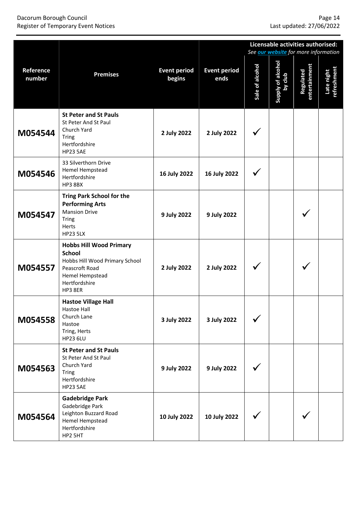#### Dacorum Borough Council Page 14 Register of Temporary Event Notices Last updated: 27/06/2022

|                     |                                                                                                                                                    |                               |                             | Licensable activities authorised:<br>See <b>our website</b> for more information |                              |                            |                           |
|---------------------|----------------------------------------------------------------------------------------------------------------------------------------------------|-------------------------------|-----------------------------|----------------------------------------------------------------------------------|------------------------------|----------------------------|---------------------------|
| Reference<br>number | <b>Premises</b>                                                                                                                                    | <b>Event period</b><br>begins | <b>Event period</b><br>ends | Sale of alcohol                                                                  | Supply of alcohol<br>by club | entertainment<br>Regulated | Late night<br>refreshment |
| M054544             | <b>St Peter and St Pauls</b><br>St Peter And St Paul<br>Church Yard<br><b>Tring</b><br>Hertfordshire<br><b>HP23 5AE</b>                            | 2 July 2022                   | 2 July 2022                 |                                                                                  |                              |                            |                           |
| M054546             | 33 Silverthorn Drive<br>Hemel Hempstead<br>Hertfordshire<br>HP3 8BX                                                                                | 16 July 2022                  | 16 July 2022                |                                                                                  |                              |                            |                           |
| M054547             | <b>Tring Park School for the</b><br><b>Performing Arts</b><br><b>Mansion Drive</b><br><b>Tring</b><br>Herts<br><b>HP23 5LX</b>                     | 9 July 2022                   | 9 July 2022                 |                                                                                  |                              |                            |                           |
| M054557             | <b>Hobbs Hill Wood Primary</b><br><b>School</b><br>Hobbs Hill Wood Primary School<br>Peascroft Road<br>Hemel Hempstead<br>Hertfordshire<br>HP3 8ER | 2 July 2022                   | 2 July 2022                 |                                                                                  |                              |                            |                           |
| M054558             | <b>Hastoe Village Hall</b><br>Hastoe Hall<br>Church Lane<br>Hastoe<br>Tring, Herts<br><b>HP23 6LU</b>                                              | 3 July 2022                   | 3 July 2022                 |                                                                                  |                              |                            |                           |
| M054563             | <b>St Peter and St Pauls</b><br>St Peter And St Paul<br>Church Yard<br><b>Tring</b><br>Hertfordshire<br><b>HP23 5AE</b>                            | 9 July 2022                   | 9 July 2022                 |                                                                                  |                              |                            |                           |
| M054564             | <b>Gadebridge Park</b><br>Gadebridge Park<br>Leighton Buzzard Road<br>Hemel Hempstead<br>Hertfordshire<br>HP2 5HT                                  | 10 July 2022                  | 10 July 2022                |                                                                                  |                              |                            |                           |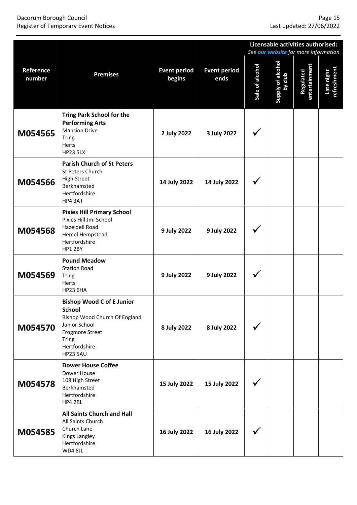#### Dacorum Borough Council Page 15 Register of Temporary Event Notices Last updated: 27/06/2022

|                     |                                                                                                                                                                            |                               |                             | Licensable activities authorised:<br>See <b>our website</b> for more information |                              |                            |                           |
|---------------------|----------------------------------------------------------------------------------------------------------------------------------------------------------------------------|-------------------------------|-----------------------------|----------------------------------------------------------------------------------|------------------------------|----------------------------|---------------------------|
| Reference<br>number | <b>Premises</b>                                                                                                                                                            | <b>Event period</b><br>begins | <b>Event period</b><br>ends | Sale of alcohol                                                                  | Supply of alcohol<br>by club | entertainment<br>Regulated | Late night<br>refreshment |
| M054565             | <b>Tring Park School for the</b><br><b>Performing Arts</b><br><b>Mansion Drive</b><br><b>Tring</b><br>Herts<br><b>HP23 5LX</b>                                             | 2 July 2022                   | 3 July 2022                 |                                                                                  |                              |                            |                           |
| M054566             | <b>Parish Church of St Peters</b><br>St Peters Church<br><b>High Street</b><br>Berkhamsted<br>Hertfordshire<br>HP4 3AT                                                     | 14 July 2022                  | 14 July 2022                |                                                                                  |                              |                            |                           |
| M054568             | <b>Pixies Hill Primary School</b><br>Pixies Hill Jmi School<br>Hazeldell Road<br>Hemel Hempstead<br>Hertfordshire<br><b>HP1 2BY</b>                                        | 9 July 2022                   | 9 July 2022                 |                                                                                  |                              |                            |                           |
| M054569             | <b>Pound Meadow</b><br><b>Station Road</b><br><b>Tring</b><br>Herts<br><b>HP23 6HA</b>                                                                                     | 9 July 2022                   | 9 July 2022                 |                                                                                  |                              |                            |                           |
| M054570             | <b>Bishop Wood C of E Junior</b><br>School<br>Bishop Wood Church Of England<br>Junior School<br><b>Frogmore Street</b><br><b>Tring</b><br>Hertfordshire<br><b>HP23 5AU</b> | 8 July 2022                   | 8 July 2022                 |                                                                                  |                              |                            |                           |
| M054578             | <b>Dower House Coffee</b><br>Dower House<br>108 High Street<br>Berkhamsted<br>Hertfordshire<br>HP4 2BL                                                                     | 15 July 2022                  | 15 July 2022                |                                                                                  |                              |                            |                           |
| M054585             | All Saints Church and Hall<br>All Saints Church<br>Church Lane<br>Kings Langley<br>Hertfordshire<br>WD4 8JL                                                                | 16 July 2022                  | 16 July 2022                |                                                                                  |                              |                            |                           |